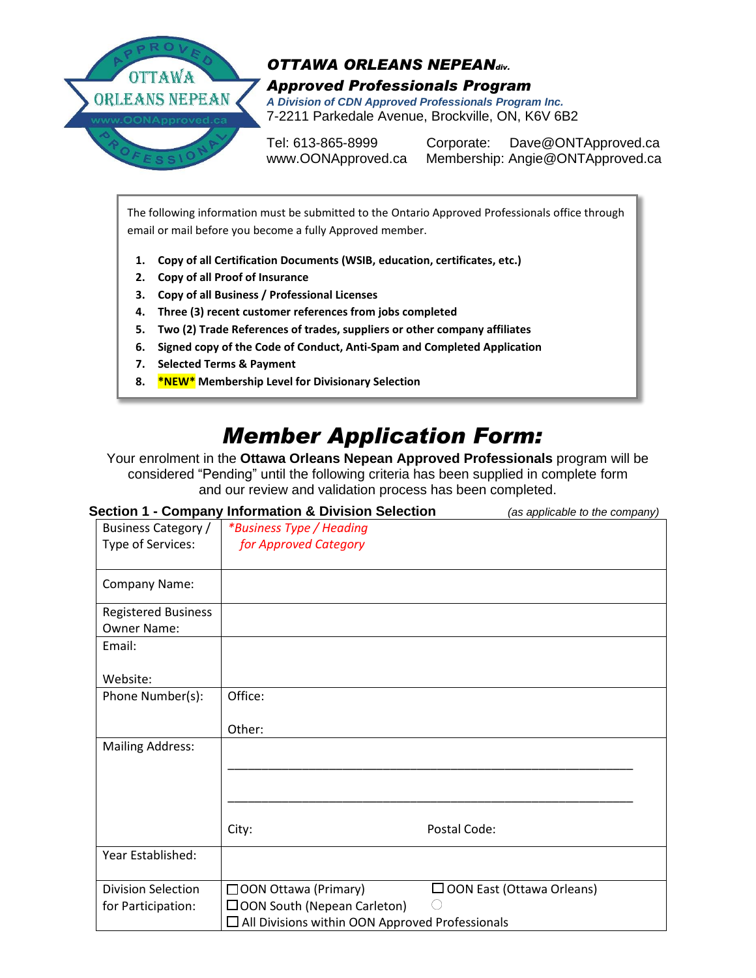

**9.**

#### *OTTAWA ORLEANS NEPEANdiv. Approved Professionals Program A Division of CDN Approved Professionals Program Inc.* 7-2211 Parkedale Avenue, Brockville, ON, K6V 6B2

Tel: 613-865-8999 Corporate: Dave@ONTApproved.ca www.OONApproved.ca Membership: Angie@ONTApproved.ca

The following information must be submitted to the Ontario Approved Professionals office through email or mail before you become a fully Approved member.

- **1. Copy of all Certification Documents (WSIB, education, certificates, etc.)**
- **2. Copy of all Proof of Insurance**
- **3. Copy of all Business / Professional Licenses**
- **4. Three (3) recent customer references from jobs completed**
- **5. Two (2) Trade References of trades, suppliers or other company affiliates**
- **6. Signed copy of the Code of Conduct, Anti-Spam and Completed Application**
- **7. Selected Terms & Payment**
- **8. \*NEW\* Membership Level for Divisionary Selection**

## *Member Application Form:*

Your enrolment in the **Ottawa Orleans Nepean Approved Professionals** program will be considered "Pending" until the following criteria has been supplied in complete form and our review and validation process has been completed.

|                            | <b>Section 1 - Company Information &amp; Division Selection</b> | (as applicable to the company)   |  |
|----------------------------|-----------------------------------------------------------------|----------------------------------|--|
| Business Category /        | *Business Type / Heading                                        |                                  |  |
| Type of Services:          | for Approved Category                                           |                                  |  |
| Company Name:              |                                                                 |                                  |  |
| <b>Registered Business</b> |                                                                 |                                  |  |
| <b>Owner Name:</b>         |                                                                 |                                  |  |
| Email:                     |                                                                 |                                  |  |
| Website:                   |                                                                 |                                  |  |
| Phone Number(s):           | Office:                                                         |                                  |  |
|                            | Other:                                                          |                                  |  |
| <b>Mailing Address:</b>    |                                                                 |                                  |  |
|                            |                                                                 |                                  |  |
|                            |                                                                 |                                  |  |
|                            | City:                                                           | Postal Code:                     |  |
| Year Established:          |                                                                 |                                  |  |
| <b>Division Selection</b>  | □ OON Ottawa (Primary)                                          | $\Box$ OON East (Ottawa Orleans) |  |
| for Participation:         | $\Box$ OON South (Nepean Carleton)                              |                                  |  |
|                            | $\Box$ All Divisions within OON Approved Professionals          |                                  |  |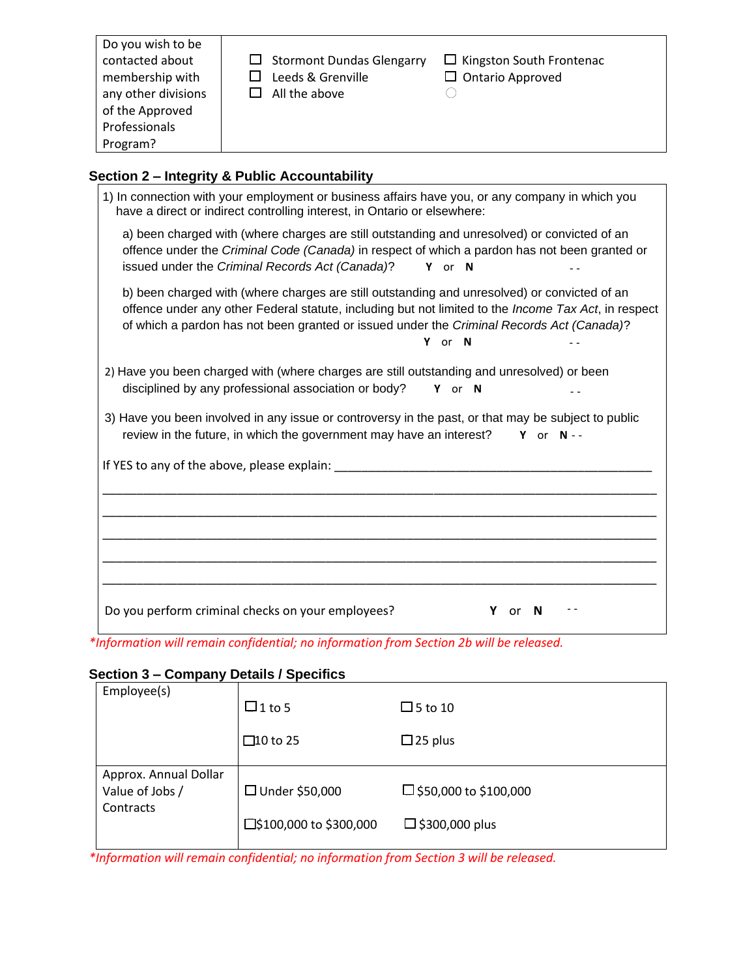| Do you wish to be<br>contacted about<br>membership with<br>any other divisions<br>of the Approved<br>Professionals<br>Program? | $\Box$ Stormont Dundas Glengarry<br>Leeds & Grenville<br>All the above | $\Box$ Kingston South Frontenac<br>$\Box$ Ontario Approved |
|--------------------------------------------------------------------------------------------------------------------------------|------------------------------------------------------------------------|------------------------------------------------------------|
|--------------------------------------------------------------------------------------------------------------------------------|------------------------------------------------------------------------|------------------------------------------------------------|

### **Section 2 – Integrity & Public Accountability**

| 1) In connection with your employment or business affairs have you, or any company in which you<br>have a direct or indirect controlling interest, in Ontario or elsewhere:                                                                                                                       |        |            |
|---------------------------------------------------------------------------------------------------------------------------------------------------------------------------------------------------------------------------------------------------------------------------------------------------|--------|------------|
| a) been charged with (where charges are still outstanding and unresolved) or convicted of an<br>offence under the Criminal Code (Canada) in respect of which a pardon has not been granted or<br>issued under the Criminal Records Act (Canada)?                                                  | Y or N |            |
| b) been charged with (where charges are still outstanding and unresolved) or convicted of an<br>offence under any other Federal statute, including but not limited to the Income Tax Act, in respect<br>of which a pardon has not been granted or issued under the Criminal Records Act (Canada)? | Y or N |            |
| 2) Have you been charged with (where charges are still outstanding and unresolved) or been<br>disciplined by any professional association or body?                                                                                                                                                | Y or N |            |
| 3) Have you been involved in any issue or controversy in the past, or that may be subject to public<br>review in the future, in which the government may have an interest?                                                                                                                        |        | Y or $N -$ |
| If YES to any of the above, please explain:                                                                                                                                                                                                                                                       |        |            |
|                                                                                                                                                                                                                                                                                                   |        |            |
|                                                                                                                                                                                                                                                                                                   |        |            |
| Do you perform criminal checks on your employees?                                                                                                                                                                                                                                                 | or     | N          |

*\*Information will remain confidential; no information from Section 2b will be released.*

#### **Section 3 – Company Details / Specifics**

| Employee(s)                  |                         |                         |
|------------------------------|-------------------------|-------------------------|
|                              | $\Box$ 1 to 5           | $\Box$ 5 to 10          |
|                              | $\square$ 10 to 25      | $\Box$ 25 plus          |
| Approx. Annual Dollar        |                         |                         |
| Value of Jobs /<br>Contracts | $\Box$ Under \$50,000   | □ \$50,000 to \$100,000 |
|                              | □\$100,000 to \$300,000 | $\Box$ \$300,000 plus   |
|                              |                         |                         |

*\*Information will remain confidential; no information from Section 3 will be released.*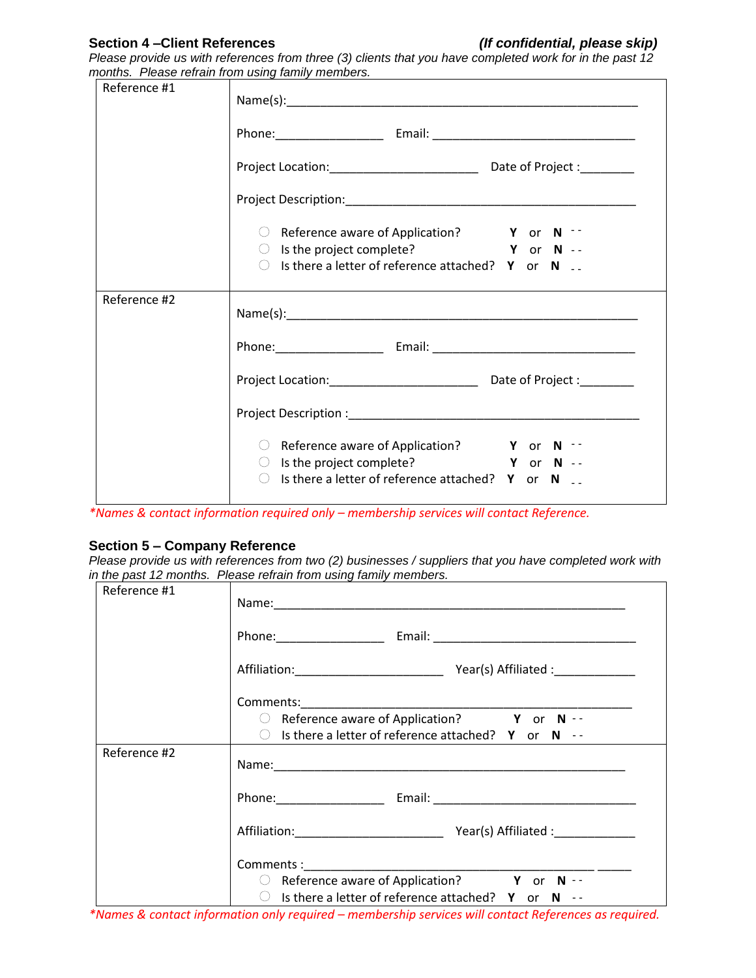#### **Section 4 –Client References** *(If confidential, please skip)*

*Please provide us with references from three (3) clients that you have completed work for in the past 12 months. Please refrain from using family members.*

| Reference #1 |                                                                                                                                                                                               |  |  |
|--------------|-----------------------------------------------------------------------------------------------------------------------------------------------------------------------------------------------|--|--|
|              |                                                                                                                                                                                               |  |  |
|              |                                                                                                                                                                                               |  |  |
|              |                                                                                                                                                                                               |  |  |
|              | $\circ$ Reference aware of Application? $\bullet$ Y or N $\cdot$<br>$\bigcirc$ Is the project complete? $\bigcirc$ Y or N --<br>$\circ$ Is there a letter of reference attached? Y or N       |  |  |
| Reference #2 |                                                                                                                                                                                               |  |  |
|              |                                                                                                                                                                                               |  |  |
|              | Project Location: _________________________________ Date of Project : __________                                                                                                              |  |  |
|              |                                                                                                                                                                                               |  |  |
|              | $\circ$ Reference aware of Application? $\bullet$ Y or N $\cdot$<br>$\circ$ Is the project complete? $\bullet$ Y or N --<br>$\circ$ Is there a letter of reference attached? Y or N $\cdot$ . |  |  |

*\*Names & contact information required only – membership services will contact Reference.*

#### **Section 5 – Company Reference**

*Please provide us with references from two (2) businesses / suppliers that you have completed work with in the past 12 months. Please refrain from using family members.*

| Reference #1 |                                                                                                                                                                                                                                |
|--------------|--------------------------------------------------------------------------------------------------------------------------------------------------------------------------------------------------------------------------------|
|              |                                                                                                                                                                                                                                |
|              |                                                                                                                                                                                                                                |
|              | Comments: Comments: Comments: Comments: Comments: Comments: Comments: Comments: Comments: Comments: Comments: Comments: Comments: Comments: Comments: Comments: Comments: Comments: Comments: Comments: Comments: Comments: Co |
|              | $\circ$ Is there a letter of reference attached? Y or N $\cdot$ -                                                                                                                                                              |
| Reference #2 |                                                                                                                                                                                                                                |
|              |                                                                                                                                                                                                                                |
|              |                                                                                                                                                                                                                                |
|              | $\circ$ Is there a letter of reference attached? Y or N $\cdot$ -                                                                                                                                                              |

*\*Names & contact information only required – membership services will contact References as required.*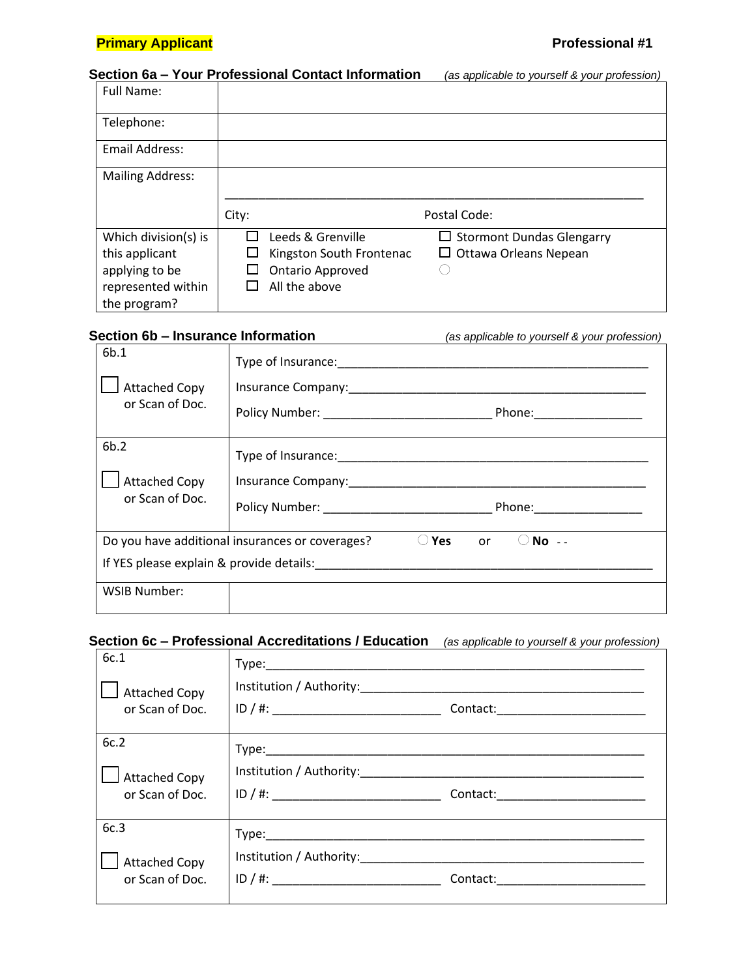#### **Primary Applicant Professional #1**

#### **Section 6a – Your Professional Contact Information** *(as applicable to yourself & your profession)*

| <b>Full Name:</b>                                                                              |                                                                                           |                                                                  |
|------------------------------------------------------------------------------------------------|-------------------------------------------------------------------------------------------|------------------------------------------------------------------|
| Telephone:                                                                                     |                                                                                           |                                                                  |
| <b>Email Address:</b>                                                                          |                                                                                           |                                                                  |
| <b>Mailing Address:</b>                                                                        |                                                                                           |                                                                  |
|                                                                                                | City:                                                                                     | Postal Code:                                                     |
| Which division(s) is<br>this applicant<br>applying to be<br>represented within<br>the program? | Leeds & Grenville<br>Kingston South Frontenac<br><b>Ontario Approved</b><br>All the above | $\Box$ Stormont Dundas Glengarry<br>$\Box$ Ottawa Orleans Nepean |

#### **Section 6b – Insurance Information** *(as applicable to yourself & your profession)*

| 6 <sub>b.1</sub>     |                                                                                                                                                    |
|----------------------|----------------------------------------------------------------------------------------------------------------------------------------------------|
| <b>Attached Copy</b> |                                                                                                                                                    |
| or Scan of Doc.      |                                                                                                                                                    |
| 6b.2                 |                                                                                                                                                    |
| <b>Attached Copy</b> |                                                                                                                                                    |
| or Scan of Doc.      |                                                                                                                                                    |
| <b>WSIB Number:</b>  | Do you have additional insurances or coverages?<br>Yes<br>$No -$<br>or and the control of the control.<br>If YES please explain & provide details: |

#### **Section 6c – Professional Accreditations / Education** *(as applicable to yourself & your profession)*

| 6c.1<br><b>Attached Copy</b>            | Type: Type: Type: Type: Type: Type: Type: Type: Type: Type: Type: Type: Type: Type: Type: Type: Type: Type: Type: Type: Type: Type: Type: Type: Type: Type: Type: Type: Type: Type: Type: Type: Type: Type: Type: Type: Type: |                                    |
|-----------------------------------------|-------------------------------------------------------------------------------------------------------------------------------------------------------------------------------------------------------------------------------|------------------------------------|
| or Scan of Doc.                         | ID / #: ________________________________                                                                                                                                                                                      | Contact: _________________________ |
| 6c.2                                    |                                                                                                                                                                                                                               |                                    |
| <b>Attached Copy</b><br>or Scan of Doc. |                                                                                                                                                                                                                               | Contact: and the contact:          |
| 6c.3                                    | Type: Type:                                                                                                                                                                                                                   |                                    |
| <b>Attached Copy</b><br>or Scan of Doc. | Institution / Authority:<br>ID / #:                                                                                                                                                                                           | Contact: _______________________   |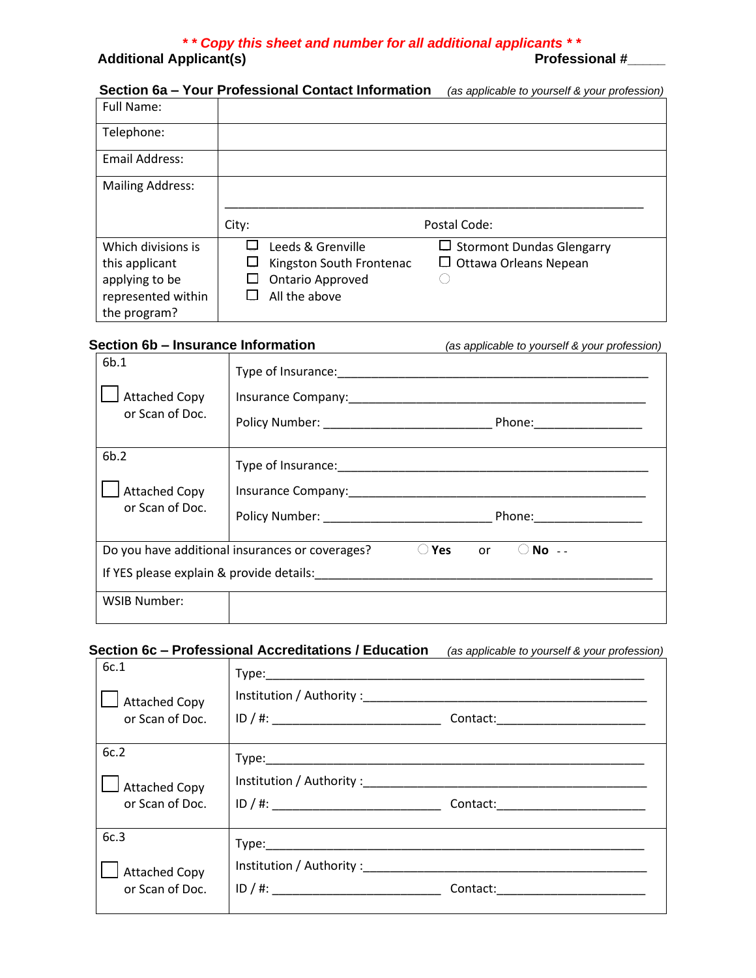# *\* \* Copy this sheet and number for all additional applicants \* \**

**Additional Applicant(s)** 

#### **Section 6a – Your Professional Contact Information** *(as applicable to yourself & your profession)*

| <b>Full Name:</b>       |                          |                                  |
|-------------------------|--------------------------|----------------------------------|
| Telephone:              |                          |                                  |
| Email Address:          |                          |                                  |
| <b>Mailing Address:</b> |                          |                                  |
|                         | City:                    | Postal Code:                     |
| Which divisions is      | Leeds & Grenville        | $\Box$ Stormont Dundas Glengarry |
| this applicant          | Kingston South Frontenac | $\Box$ Ottawa Orleans Nepean     |
| applying to be          | <b>Ontario Approved</b>  |                                  |
| represented within      | All the above            |                                  |
| the program?            |                          |                                  |

| Section 6b - Insurance Information              |                                                 | (as applicable to yourself & your profession)                                                                                                                                                                                  |
|-------------------------------------------------|-------------------------------------------------|--------------------------------------------------------------------------------------------------------------------------------------------------------------------------------------------------------------------------------|
| 6b.1<br><b>Attached Copy</b><br>or Scan of Doc. |                                                 | Insurance Company: The company of the company of the company of the company of the company of the company of the company of the company of the company of the company of the company of the company of the company of the comp |
| 6b.2<br><b>Attached Copy</b><br>or Scan of Doc. |                                                 |                                                                                                                                                                                                                                |
|                                                 | Do you have additional insurances or coverages? | $No - -$<br><b>Yes</b><br>or                                                                                                                                                                                                   |
| <b>WSIB Number:</b>                             |                                                 |                                                                                                                                                                                                                                |

#### **Section 6c – Professional Accreditations / Education** *(as applicable to yourself & your profession)*

| 6c.1<br><b>Attached Copy</b><br>or Scan of Doc. |                                                                                                                                                                                                                                          |                                    |
|-------------------------------------------------|------------------------------------------------------------------------------------------------------------------------------------------------------------------------------------------------------------------------------------------|------------------------------------|
| 6c.2<br><b>Attached Copy</b><br>or Scan of Doc. | ID / #:                                                                                                                                                                                                                                  | Contact:__________________________ |
| 6c.3<br><b>Attached Copy</b><br>or Scan of Doc. | Institution / Authority : The contract of the contract of the contract of the contract of the contract of the contract of the contract of the contract of the contract of the contract of the contract of the contract of the<br>ID / #: | Contact: National Contact:         |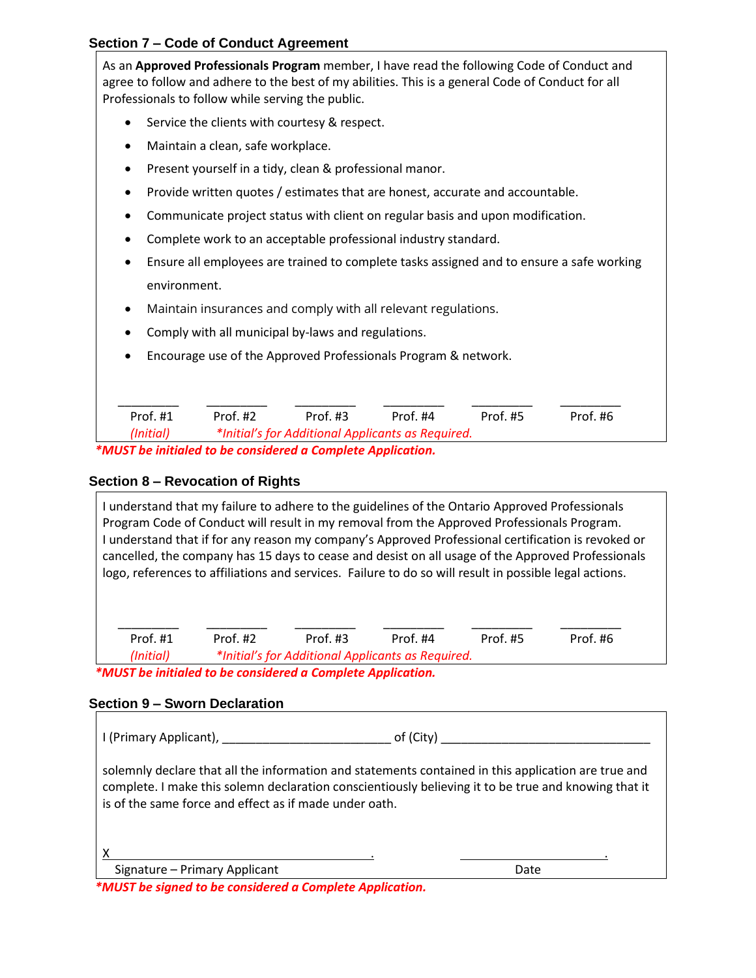#### **Section 7 – Code of Conduct Agreement**

As an **Approved Professionals Program** member, I have read the following Code of Conduct and agree to follow and adhere to the best of my abilities. This is a general Code of Conduct for all Professionals to follow while serving the public.

- Service the clients with courtesy & respect.
- Maintain a clean, safe workplace.
- Present yourself in a tidy, clean & professional manor.
- Provide written quotes / estimates that are honest, accurate and accountable.
- Communicate project status with client on regular basis and upon modification.
- Complete work to an acceptable professional industry standard.
- Ensure all employees are trained to complete tasks assigned and to ensure a safe working environment.
- Maintain insurances and comply with all relevant regulations.
- Comply with all municipal by-laws and regulations.
- Encourage use of the Approved Professionals Program & network.

| Prof. #1                                                     | Prof. #2                                          | Prof. $#3$ | Prof. #4 | Prof. #5 | Prof.#6 |
|--------------------------------------------------------------|---------------------------------------------------|------------|----------|----------|---------|
| (Initial)                                                    | *Initial's for Additional Applicants as Required. |            |          |          |         |
| AALICT ha initialad ta ha cancidarad a Camplata Annlication. |                                                   |            |          |          |         |

 *\*MUST be initialed to be considered a Complete Application.*

#### **Section 8 – Revocation of Rights**

I understand that my failure to adhere to the guidelines of the Ontario Approved Professionals Program Code of Conduct will result in my removal from the Approved Professionals Program. I understand that if for any reason my company's Approved Professional certification is revoked or cancelled, the company has 15 days to cease and desist on all usage of the Approved Professionals logo, references to affiliations and services. Failure to do so will result in possible legal actions.

| Prof. $#1$                                                     | Prof. $#2$ | Prof. $#3$ | Prof. #4 | Prof. #5 | Prof. #6 |
|----------------------------------------------------------------|------------|------------|----------|----------|----------|
| *Initial's for Additional Applicants as Required.<br>(Initial) |            |            |          |          |          |
| AALICT ha initialad ta ha conoideuad a Complete Annlication    |            |            |          |          |          |

 *\*MUST be initialed to be considered a Complete Application.*

#### **Section 9 – Sworn Declaration**

| I (Primary Applicant), |  |
|------------------------|--|
|                        |  |

solemnly declare that all the information and statements contained in this application are true and complete. I make this solemn declaration conscientiously believing it to be true and knowing that it is of the same force and effect as if made under oath.

Signature – Primary Applicant Date Date Date Date

 *\*MUST be signed to be considered a Complete Application.*

X . .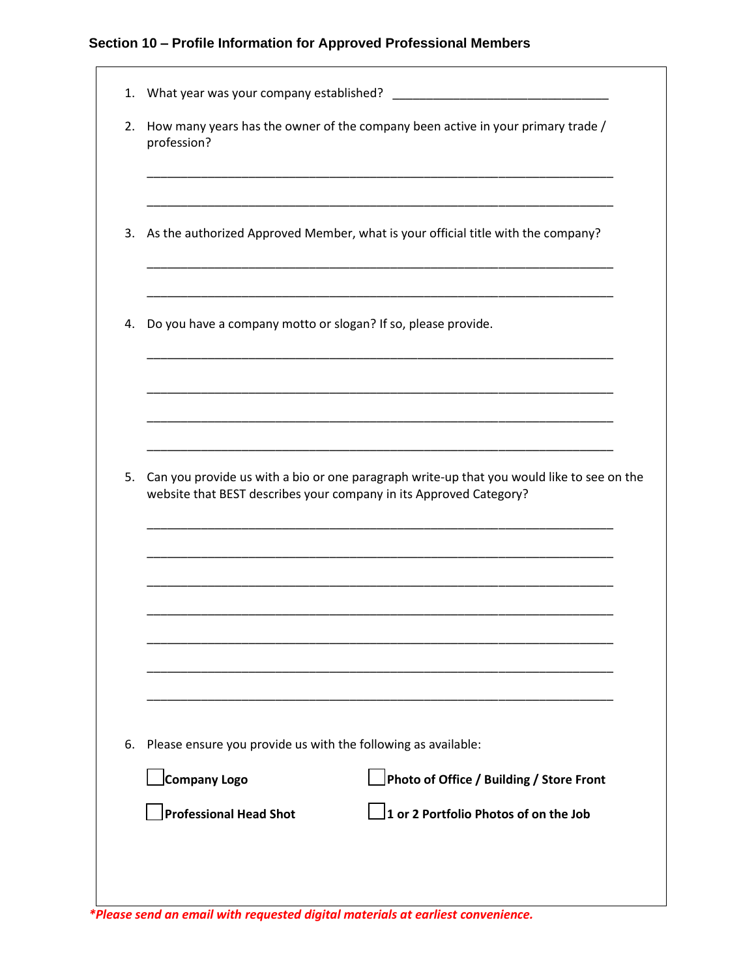#### **Section 10 – Profile Information for Approved Professional Members**

| 2.       | How many years has the owner of the company been active in your primary trade /<br>profession?                                                                  |
|----------|-----------------------------------------------------------------------------------------------------------------------------------------------------------------|
|          |                                                                                                                                                                 |
|          | 3. As the authorized Approved Member, what is your official title with the company?                                                                             |
| 4.       | Do you have a company motto or slogan? If so, please provide.                                                                                                   |
|          |                                                                                                                                                                 |
|          |                                                                                                                                                                 |
|          |                                                                                                                                                                 |
|          | Can you provide us with a bio or one paragraph write-up that you would like to see on the<br>website that BEST describes your company in its Approved Category? |
|          |                                                                                                                                                                 |
|          |                                                                                                                                                                 |
|          |                                                                                                                                                                 |
|          |                                                                                                                                                                 |
|          | Please ensure you provide us with the following as available:                                                                                                   |
| 5.<br>6. | Company Logo<br>Photo of Office / Building / Store Front                                                                                                        |

*\*Please send an email with requested digital materials at earliest convenience.*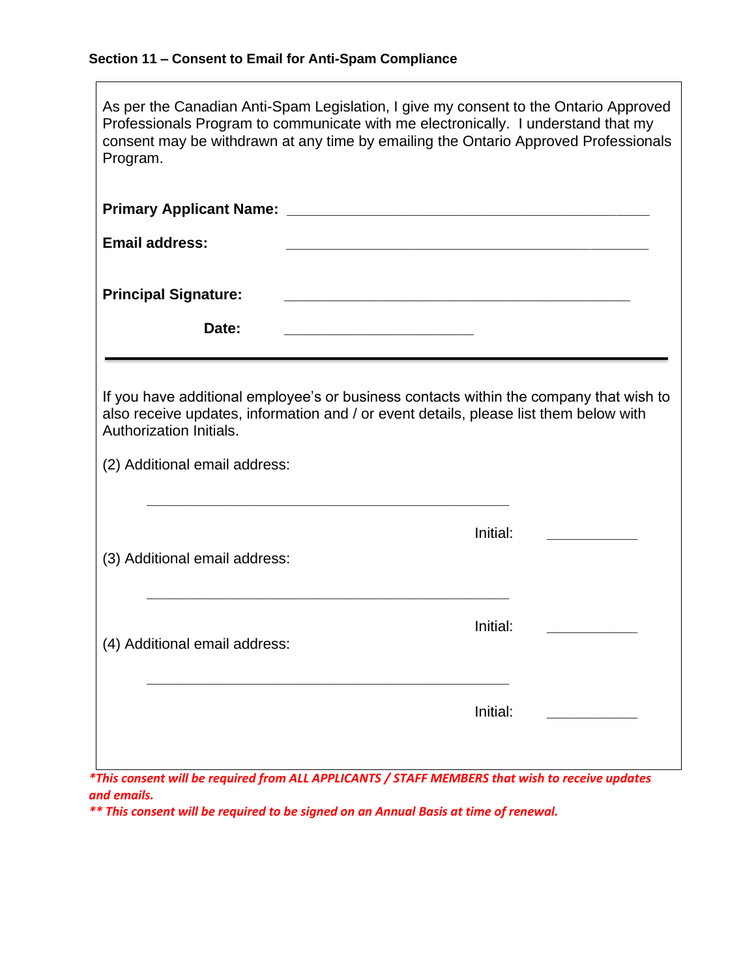| As per the Canadian Anti-Spam Legislation, I give my consent to the Ontario Approved<br>Professionals Program to communicate with me electronically. I understand that my<br>consent may be withdrawn at any time by emailing the Ontario Approved Professionals<br>Program. |                                                                                                                                                                                             |  |  |
|------------------------------------------------------------------------------------------------------------------------------------------------------------------------------------------------------------------------------------------------------------------------------|---------------------------------------------------------------------------------------------------------------------------------------------------------------------------------------------|--|--|
|                                                                                                                                                                                                                                                                              |                                                                                                                                                                                             |  |  |
| <b>Email address:</b>                                                                                                                                                                                                                                                        |                                                                                                                                                                                             |  |  |
| <b>Principal Signature:</b>                                                                                                                                                                                                                                                  |                                                                                                                                                                                             |  |  |
| Date:                                                                                                                                                                                                                                                                        | <u> 1989 - Johann Harry Harry Harry Harry Harry Harry Harry Harry Harry Harry Harry Harry Harry Harry Harry Harry</u>                                                                       |  |  |
| Authorization Initials.<br>(2) Additional email address:<br>(3) Additional email address:                                                                                                                                                                                    | If you have additional employee's or business contacts within the company that wish to<br>also receive updates, information and / or event details, please list them below with<br>Initial: |  |  |
|                                                                                                                                                                                                                                                                              | Initial:                                                                                                                                                                                    |  |  |
| (4) Additional email address:                                                                                                                                                                                                                                                | Initial:                                                                                                                                                                                    |  |  |
|                                                                                                                                                                                                                                                                              |                                                                                                                                                                                             |  |  |

*\*This consent will be required from ALL APPLICANTS / STAFF MEMBERS that wish to receive updates and emails.*

*\*\* This consent will be required to be signed on an Annual Basis at time of renewal.*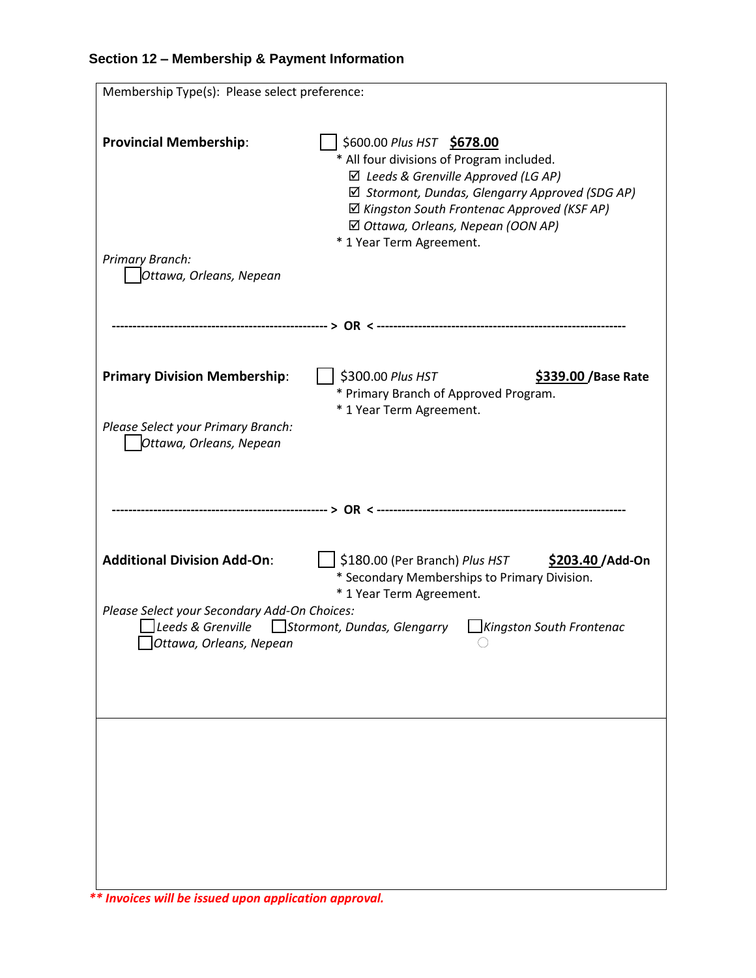| Membership Type(s): Please select preference:                                                                                                                                                                                                                                                                                           |                                                                                                                                                                                                                                                                                                |  |
|-----------------------------------------------------------------------------------------------------------------------------------------------------------------------------------------------------------------------------------------------------------------------------------------------------------------------------------------|------------------------------------------------------------------------------------------------------------------------------------------------------------------------------------------------------------------------------------------------------------------------------------------------|--|
| <b>Provincial Membership:</b><br>Primary Branch:<br>Ottawa, Orleans, Nepean                                                                                                                                                                                                                                                             | \$600.00 Plus HST \$678.00<br>* All four divisions of Program included.<br>$\boxtimes$ Leeds & Grenville Approved (LG AP)<br>☑ Stormont, Dundas, Glengarry Approved (SDG AP)<br>☑ Kingston South Frontenac Approved (KSF AP)<br>☑ Ottawa, Orleans, Nepean (OON AP)<br>* 1 Year Term Agreement. |  |
|                                                                                                                                                                                                                                                                                                                                         |                                                                                                                                                                                                                                                                                                |  |
| <b>Primary Division Membership:</b><br>Please Select your Primary Branch:<br>Ottawa, Orleans, Nepean                                                                                                                                                                                                                                    | \$300.00 Plus HST<br>\$339.00 / Base Rate<br>* Primary Branch of Approved Program.<br>* 1 Year Term Agreement.                                                                                                                                                                                 |  |
|                                                                                                                                                                                                                                                                                                                                         |                                                                                                                                                                                                                                                                                                |  |
| <b>Additional Division Add-On:</b><br>\$180.00 (Per Branch) Plus HST<br>\$203.40 / Add-On<br>* Secondary Memberships to Primary Division.<br>* 1 Year Term Agreement.<br>Please Select your Secondary Add-On Choices:<br>Leeds & Grenville<br>Stormont, Dundas, Glengarry<br>Kingston South Frontenac<br>$\Box$ Ottawa, Orleans, Nepean |                                                                                                                                                                                                                                                                                                |  |
|                                                                                                                                                                                                                                                                                                                                         |                                                                                                                                                                                                                                                                                                |  |

*\*\* Invoices will be issued upon application approval.*